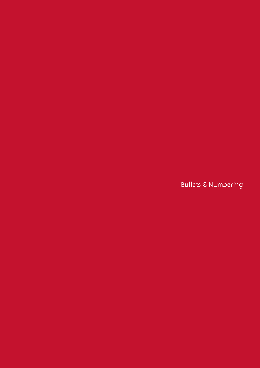**Bullets & Numbering**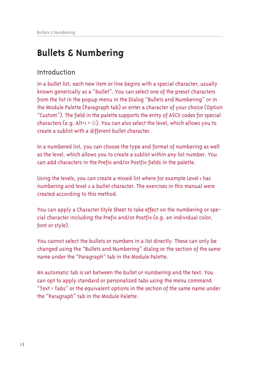# **Bullets & Numbering**

# Introduction

In a bullet list, each new item or line begins with a special character, usually known generically as a "bullet". You can select one of the preset characters from the list in the popup menu in the Dialog "Bullets and Numbering" or in the Module Palette (Paragraph tab) or enter a character of your choice (Option "Custom"). The field in the palette supports the entry of ASCII codes for special characters (e.g. Alt+ $i = \odot$ ). You can also select the level, which allows you to create a sublist with a different bullet character.

In a numbered list, you can choose the type and format of numbering as well as the level, which allows you to create a sublist within any list number. You can add characters in the Prefix and/or Postfix fields in the palette.

Using the levels, you can create a mixed list where for example Level I has numbering and level 2 a bullet character. The exercises in this manual were created according to this method.

You can apply a Character Style Sheet to take effect on the numbering or special character including the Prefix and/or Postfix (e.g. an individual color, font or style).

You cannot select the bullets or numbers in a list directly. These can only be changed using the "Bullets and Numbering" dialog or the section of the same name under the "Paragraph" tab in the Module Palette.

An automatic tab is set between the bullet or numbering and the text. You can opt to apply standard or personalized tabs using the menu command "Text  $\rightarrow$  Tabs" or the equivalent options in the section of the same name under the "Paragraph" tab in the Module Palette.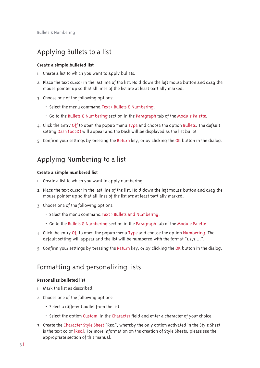## Applying Bullets to a list

#### Create a simple bulleted list

- I. Create a list to which you want to apply bullets.
- 2. Place the text cursor in the last line of the list. Hold down the left mouse button and drag the mouse pointer up so that all lines of the list are at least partially marked.
- 3. Choose one of the following options:
	- Select the menu command Text > Bullets & Numbering.
	- Go to the Bullets & Numbering section in the Paragraph tab of the Module Palette.
- 4. Click the entry Off to open the popup menu Type and choose the option Bullets. The default setting Dash (002D) will appear and the Dash will be displayed as the list bullet.
- 5. Confirm your settings by pressing the Return key, or by clicking the OK button in the dialog.

# Applying Numbering to a list

#### Create a simple numbered list

- I. Create a list to which you want to apply numbering.
- 2. Place the text cursor in the last line of the list. Hold down the left mouse button and drag the mouse pointer up so that all lines of the list are at least partially marked.
- 3. Choose one of the following options:
	- Select the menu command Text > Bullets and Numbering.
	- Go to the Bullets & Numbering section in the Paragraph tab of the Module Palette.
- L. Click the entry Off to open the popup menu Type and choose the option Numbering. The default setting will appear and the list will be numbered with the format "1,2,3....".
- 5. Confirm your settings by pressing the Return key, or by clicking the OK button in the dialog.

## Formatting and personalizing lists

#### Personalize bulleted list

- 1. Mark the list as described.
- 2. Choose one of the following options:
	- Select a different bullet from the list.
	- Select the option Custom in the Character field and enter a character of your choice.
- 3. Create the Character Style Sheet "Red", whereby the only option activated in the Style Sheet is the text color [Red]. For more information on the creation of Style Sheets, please see the appropriate section of this manual.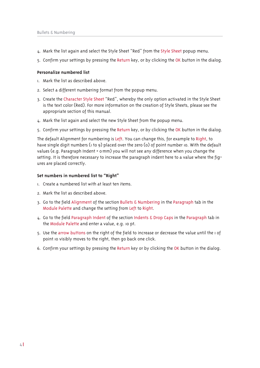- 4. Mark the list again and select the Style Sheet "Red" from the Style Sheet popup menu.
- 5. Confirm your settings by pressing the Return key, or by clicking the OK button in the dialog.

#### Personalize numbered list

- L. Mark the list as described above.
- 2. Select a different numbering format from the popup menu.
- 3. Create the Character Style Sheet "Red", whereby the only option activated in the Style Sheet is the text color (Red). For more information on the creation of Style Sheets, please see the appropriate section of this manual.
- 4. Mark the list again and select the new Style Sheet from the popup menu.
- 5. Confirm your settings by pressing the Return key, or by clicking the OK button in the dialog.

The default Alignment for numbering is Left. You can change this, for example to Right, to have single digit numbers (1 to 9) placed over the zero (0) of point number 10. With the default values (e.g. Paragraph Indent = 0 mm) you will not see any difference when you change the setting. It is therefore necessary to increase the paragraph indent here to a value where the figures are placed correctly.

#### Set numbers in numbered list to "Right"

- 1. Create a numbered list with at least ten items.
- 2. Mark the list as described above.
- 3. Go to the field Alignment of the section Bullets & Numbering in the Paragraph tab in the Module Palette and change the setting from Left to Right.
- 4. Go to the field Paragraph Indent of the section Indents & Drop Caps in the Paragraph tab in the Module Palette and enter a value, e.g. 10 pt.
- 5. Use the arrow buttons on the right of the field to increase or decrease the value until the I of point to visibly moves to the right, then go back one click.
- 6. Confirm your settings by pressing the Return key or by clicking the OK button in the dialog.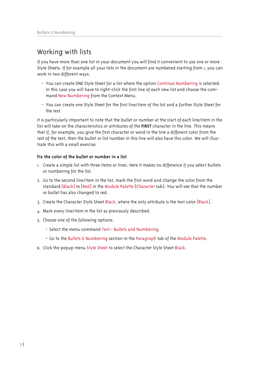# Working with lists

If you have more than one list in your document you will find it convenient to use one or more Style Sheets. If for example all your lists in the document are numbered starting from 1, you can work in two different ways:

- You can create ONE Style Sheet for a list where the option Continue Numbering is selected. In this case you will have to right-click the first line of each new list and choose the command New Numbering from the Context Menu.
- You can create one Style Sheet for the first line/item of the list and a further Style Sheet for the rest.

It is particularly important to note that the bullet or number at the start of each line/item in the list will take on the characteristics or attributes of the FIRST character in the line. This means that if, for example, you give the first character or word in the line a different color from the rest of the text, then the bullet or list number in this line will also have this color. We will illustrate this with a small exercise.

#### Fix the color of the bullet or number in a list

- I. Create a simple list with three items or lines. Here it makes no difference if you select bullets or numbering for the list.
- 2. Go to the second line/item in the list, mark the first word and change the color from the standard [Black] to [Red] in the Module Palette (Character tab). You will see that the number or bullet has also changed to red.
- 3. Create the Character Style Sheet Black, where the only attribute is the text color [Black].
- 4. Mark every line/item in the list as previously described.
- 5. Choose one of the following options:
	- Select the menu command Text > Bullets and Numbering.
	- Go to the Bullets & Numbering section in the Paragraph tab of the Module Palette.
- 6. Click the popup menu Style Sheet to select the Character Style Sheet Black.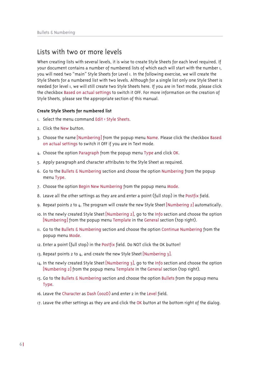### Lists with two or more levels

When creating lists with several levels, it is wise to create Style Sheets for each level required. If your document contains a number of numbered lists of which each will start with the number 1, you will need two "main" Style Sheets for Level <sub>1</sub>. In the following exercise, we will create the Style Sheets for a numbered list with two levels. Although for a single list only one Style Sheet is needed for level 1, we will still create two Style Sheets here. If you are in Text mode, please click the checkbox Based on actual settings to switch it OFF. For more information on the creation of Style Sheets, please see the appropriate section of this manual.

#### Create Style Sheets for numbered list

- I. Select the menu command Edit > Style Sheets.
- 2. Click the New button.
- 3. Choose the name [Numbering] from the popup menu Name. Please click the checkbox Based on actual settings to switch it OFF if you are in Text mode.
- 4. Choose the option Paragraph from the popup menu Type and click OK.
- 5. Apply paragraph and character attributes to the Style Sheet as required.
- 6. Go to the Bullets & Numbering section and choose the option Numbering from the popup menu Type.
- 7. Choose the option Begin New Numbering from the popup menu Mode.
- 8. Leave all the other settings as they are and enter a point (full stop) in the Postfix field.
- 9. Repeat points 2 to  $\mu$ . The program will create the new Style Sheet [Numbering 2] automatically.
- 10. In the newly created Style Sheet [Numbering 2], go to the Info section and choose the option [Numbering] from the popup menu Template in the General section (top right).
- II. Go to the Bullets & Numbering section and choose the option Continue Numbering from the popup menu Mode.
- 12. Enter a point (full stop) in the Postfix field. Do NOT click the OK button!
- 13. Repeat points 2 to 4, and create the new Style Sheet [Numbering 3].
- 14. In the newly created Style Sheet [Numbering 3], go to the Info section and choose the option [Numbering 2] from the popup menu Template in the General section (top right).
- 15. Go to the Bullets & Numbering section and choose the option Bullets from the popup menu Type.
- 16. Leave the Character as Dash (002D) and enter 2 in the Level field.
- 17. Leave the other settings as they are and click the OK button at the bottom right of the dialog.